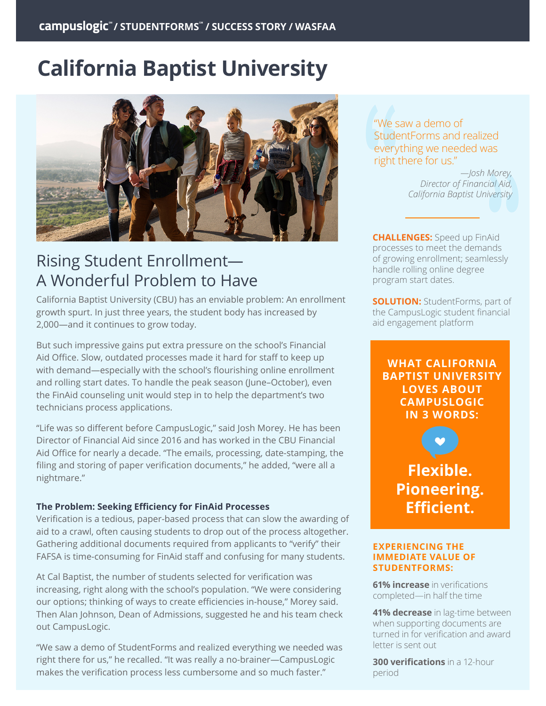# **California Baptist University**



## Rising Student Enrollment— A Wonderful Problem to Have

California Baptist University (CBU) has an enviable problem: An enrollment growth spurt. In just three years, the student body has increased by 2,000—and it continues to grow today.

But such impressive gains put extra pressure on the school's Financial Aid Office. Slow, outdated processes made it hard for staff to keep up with demand—especially with the school's flourishing online enrollment and rolling start dates. To handle the peak season (June–October), even the FinAid counseling unit would step in to help the department's two technicians process applications.

"Life was so different before CampusLogic," said Josh Morey. He has been Director of Financial Aid since 2016 and has worked in the CBU Financial Aid Office for nearly a decade. "The emails, processing, date-stamping, the filing and storing of paper verification documents," he added, "were all a nightmare."

#### **The Problem: Seeking Efficiency for FinAid Processes**

Verification is a tedious, paper-based process that can slow the awarding of aid to a crawl, often causing students to drop out of the process altogether. Gathering additional documents required from applicants to "verify" their FAFSA is time-consuming for FinAid staff and confusing for many students.

At Cal Baptist, the number of students selected for verification was increasing, right along with the school's population. "We were considering our options; thinking of ways to create efficiencies in-house," Morey said. Then Alan Johnson, Dean of Admissions, suggested he and his team check out CampusLogic.

"We saw a demo of StudentForms and realized everything we needed was right there for us," he recalled. "It was really a no-brainer—CampusLogic makes the verification process less cumbersome and so much faster."

"We saw a demo of StudentForms and realized everything we needed was right there for us."

> *—Josh Morey, Director of Financial Aid, California Baptist University*

**CHALLENGES:** Speed up FinAid processes to meet the demands of growing enrollment; seamlessly handle rolling online degree program start dates.

**SOLUTION:** StudentForms, part of the CampusLogic student financial aid engagement platform

**WHAT CALIFORNIA BAPTIST UNIVERSITY LOVES ABOUT CAMPUSLOGIC IN 3 WORDS:**

**Flexible. Pioneering. Efficient.**

#### **EXPERIENCING THE IMMEDIATE VALUE OF STUDENTFORMS:**

**61% increase** in verifications completed—in half the time

**41% decrease** in lag-time between when supporting documents are turned in for verification and award letter is sent out

**300 verifications** in a 12-hour period